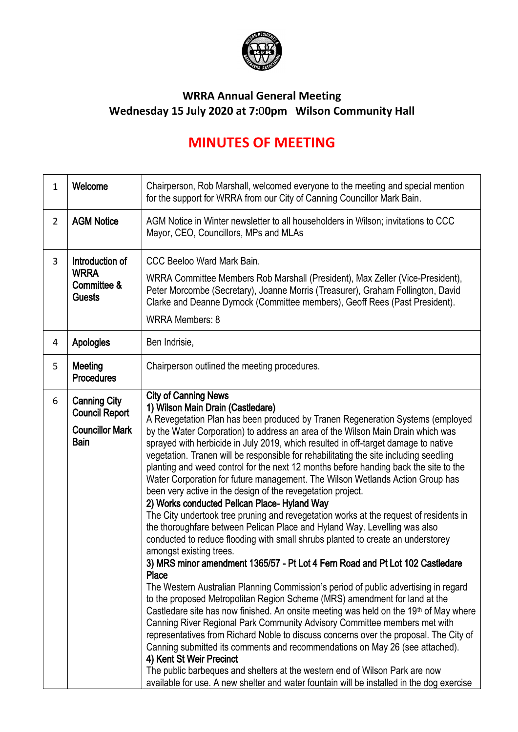

## **WRRA Annual General Meeting Wednesday 15 July 2020 at 7:**0**0pm Wilson Community Hall**

## **MINUTES OF MEETING**

| $\mathbf{1}$   | Welcome                                                                               | Chairperson, Rob Marshall, welcomed everyone to the meeting and special mention<br>for the support for WRRA from our City of Canning Councillor Mark Bain.                                                                                                                                                                                                                                                                                                                                                                                                                                                                                                                                                                                                                                                                                                                                                                                                                                                                                                                                                                                                                                                                                                                                                                                                                                                                                                                                                                                                                                                                                                                                                                                                                                                                         |
|----------------|---------------------------------------------------------------------------------------|------------------------------------------------------------------------------------------------------------------------------------------------------------------------------------------------------------------------------------------------------------------------------------------------------------------------------------------------------------------------------------------------------------------------------------------------------------------------------------------------------------------------------------------------------------------------------------------------------------------------------------------------------------------------------------------------------------------------------------------------------------------------------------------------------------------------------------------------------------------------------------------------------------------------------------------------------------------------------------------------------------------------------------------------------------------------------------------------------------------------------------------------------------------------------------------------------------------------------------------------------------------------------------------------------------------------------------------------------------------------------------------------------------------------------------------------------------------------------------------------------------------------------------------------------------------------------------------------------------------------------------------------------------------------------------------------------------------------------------------------------------------------------------------------------------------------------------|
| $\overline{2}$ | <b>AGM Notice</b>                                                                     | AGM Notice in Winter newsletter to all householders in Wilson; invitations to CCC<br>Mayor, CEO, Councillors, MPs and MLAs                                                                                                                                                                                                                                                                                                                                                                                                                                                                                                                                                                                                                                                                                                                                                                                                                                                                                                                                                                                                                                                                                                                                                                                                                                                                                                                                                                                                                                                                                                                                                                                                                                                                                                         |
| 3              | Introduction of<br><b>WRRA</b><br>Committee &<br><b>Guests</b>                        | CCC Beeloo Ward Mark Bain.<br>WRRA Committee Members Rob Marshall (President), Max Zeller (Vice-President),<br>Peter Morcombe (Secretary), Joanne Morris (Treasurer), Graham Follington, David<br>Clarke and Deanne Dymock (Committee members), Geoff Rees (Past President).<br><b>WRRA Members: 8</b>                                                                                                                                                                                                                                                                                                                                                                                                                                                                                                                                                                                                                                                                                                                                                                                                                                                                                                                                                                                                                                                                                                                                                                                                                                                                                                                                                                                                                                                                                                                             |
| 4              | <b>Apologies</b>                                                                      | Ben Indrisie,                                                                                                                                                                                                                                                                                                                                                                                                                                                                                                                                                                                                                                                                                                                                                                                                                                                                                                                                                                                                                                                                                                                                                                                                                                                                                                                                                                                                                                                                                                                                                                                                                                                                                                                                                                                                                      |
| 5              | <b>Meeting</b><br><b>Procedures</b>                                                   | Chairperson outlined the meeting procedures.                                                                                                                                                                                                                                                                                                                                                                                                                                                                                                                                                                                                                                                                                                                                                                                                                                                                                                                                                                                                                                                                                                                                                                                                                                                                                                                                                                                                                                                                                                                                                                                                                                                                                                                                                                                       |
| 6              | <b>Canning City</b><br><b>Council Report</b><br><b>Councillor Mark</b><br><b>Bain</b> | <b>City of Canning News</b><br>1) Wilson Main Drain (Castledare)<br>A Revegetation Plan has been produced by Tranen Regeneration Systems (employed<br>by the Water Corporation) to address an area of the Wilson Main Drain which was<br>sprayed with herbicide in July 2019, which resulted in off-target damage to native<br>vegetation. Tranen will be responsible for rehabilitating the site including seedling<br>planting and weed control for the next 12 months before handing back the site to the<br>Water Corporation for future management. The Wilson Wetlands Action Group has<br>been very active in the design of the revegetation project.<br>2) Works conducted Pelican Place- Hyland Way<br>The City undertook tree pruning and revegetation works at the request of residents in<br>the thoroughfare between Pelican Place and Hyland Way. Levelling was also<br>conducted to reduce flooding with small shrubs planted to create an understorey<br>amongst existing trees.<br>3) MRS minor amendment 1365/57 - Pt Lot 4 Fern Road and Pt Lot 102 Castledare<br>Place<br>The Western Australian Planning Commission's period of public advertising in regard<br>to the proposed Metropolitan Region Scheme (MRS) amendment for land at the<br>Castledare site has now finished. An onsite meeting was held on the 19 <sup>th</sup> of May where<br>Canning River Regional Park Community Advisory Committee members met with<br>representatives from Richard Noble to discuss concerns over the proposal. The City of<br>Canning submitted its comments and recommendations on May 26 (see attached).<br>4) Kent St Weir Precinct<br>The public barbeques and shelters at the western end of Wilson Park are now<br>available for use. A new shelter and water fountain will be installed in the dog exercise |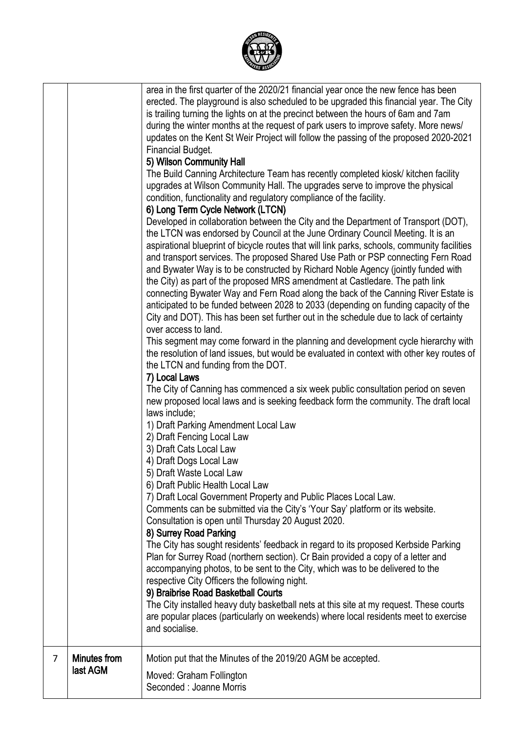

| $\overline{7}$ | <b>Minutes from</b><br>last AGM | Motion put that the Minutes of the 2019/20 AGM be accepted.<br>Moved: Graham Follington<br>Seconded : Joanne Morris                                                                                                                                                                                                                                                                                                                                                                                                                                                                                                                                                                                                                                                                                                                                                                                                                                                                                                                                                                                                                                                                                                                                                                                                                                                                                                                                                                                                                                                                                                                                                                                                                                                                                                                                                                                                                                                                                                                                                                                                                                                                                                                                                                                                                                                                                                                                                                                                                                                                                                                                                                                                                                                                                                                                                 |
|----------------|---------------------------------|---------------------------------------------------------------------------------------------------------------------------------------------------------------------------------------------------------------------------------------------------------------------------------------------------------------------------------------------------------------------------------------------------------------------------------------------------------------------------------------------------------------------------------------------------------------------------------------------------------------------------------------------------------------------------------------------------------------------------------------------------------------------------------------------------------------------------------------------------------------------------------------------------------------------------------------------------------------------------------------------------------------------------------------------------------------------------------------------------------------------------------------------------------------------------------------------------------------------------------------------------------------------------------------------------------------------------------------------------------------------------------------------------------------------------------------------------------------------------------------------------------------------------------------------------------------------------------------------------------------------------------------------------------------------------------------------------------------------------------------------------------------------------------------------------------------------------------------------------------------------------------------------------------------------------------------------------------------------------------------------------------------------------------------------------------------------------------------------------------------------------------------------------------------------------------------------------------------------------------------------------------------------------------------------------------------------------------------------------------------------------------------------------------------------------------------------------------------------------------------------------------------------------------------------------------------------------------------------------------------------------------------------------------------------------------------------------------------------------------------------------------------------------------------------------------------------------------------------------------------------|
|                |                                 | is trailing turning the lights on at the precinct between the hours of 6am and 7am<br>during the winter months at the request of park users to improve safety. More news/<br>updates on the Kent St Weir Project will follow the passing of the proposed 2020-2021<br>Financial Budget.<br>5) Wilson Community Hall<br>The Build Canning Architecture Team has recently completed kiosk/ kitchen facility<br>upgrades at Wilson Community Hall. The upgrades serve to improve the physical<br>condition, functionality and regulatory compliance of the facility.<br>6) Long Term Cycle Network (LTCN)<br>Developed in collaboration between the City and the Department of Transport (DOT),<br>the LTCN was endorsed by Council at the June Ordinary Council Meeting. It is an<br>aspirational blueprint of bicycle routes that will link parks, schools, community facilities<br>and transport services. The proposed Shared Use Path or PSP connecting Fern Road<br>and Bywater Way is to be constructed by Richard Noble Agency (jointly funded with<br>the City) as part of the proposed MRS amendment at Castledare. The path link<br>connecting Bywater Way and Fern Road along the back of the Canning River Estate is<br>anticipated to be funded between 2028 to 2033 (depending on funding capacity of the<br>City and DOT). This has been set further out in the schedule due to lack of certainty<br>over access to land.<br>This segment may come forward in the planning and development cycle hierarchy with<br>the resolution of land issues, but would be evaluated in context with other key routes of<br>the LTCN and funding from the DOT.<br>7) Local Laws<br>The City of Canning has commenced a six week public consultation period on seven<br>new proposed local laws and is seeking feedback form the community. The draft local<br>laws include;<br>1) Draft Parking Amendment Local Law<br>2) Draft Fencing Local Law<br>3) Draft Cats Local Law<br>4) Draft Dogs Local Law<br>5) Draft Waste Local Law<br>6) Draft Public Health Local Law<br>7) Draft Local Government Property and Public Places Local Law.<br>Comments can be submitted via the City's 'Your Say' platform or its website.<br>Consultation is open until Thursday 20 August 2020.<br>8) Surrey Road Parking<br>The City has sought residents' feedback in regard to its proposed Kerbside Parking<br>Plan for Surrey Road (northern section). Cr Bain provided a copy of a letter and<br>accompanying photos, to be sent to the City, which was to be delivered to the<br>respective City Officers the following night.<br>9) Braibrise Road Basketball Courts<br>The City installed heavy duty basketball nets at this site at my request. These courts<br>are popular places (particularly on weekends) where local residents meet to exercise<br>and socialise. |
|                |                                 | area in the first quarter of the 2020/21 financial year once the new fence has been<br>erected. The playground is also scheduled to be upgraded this financial year. The City                                                                                                                                                                                                                                                                                                                                                                                                                                                                                                                                                                                                                                                                                                                                                                                                                                                                                                                                                                                                                                                                                                                                                                                                                                                                                                                                                                                                                                                                                                                                                                                                                                                                                                                                                                                                                                                                                                                                                                                                                                                                                                                                                                                                                                                                                                                                                                                                                                                                                                                                                                                                                                                                                       |